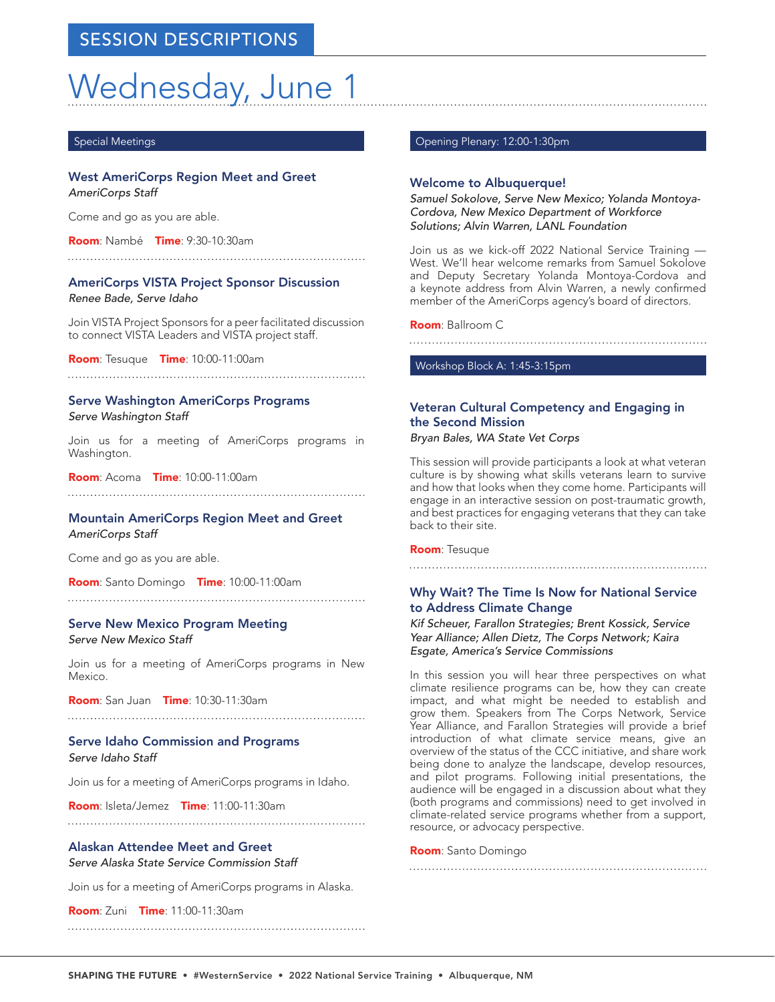# Wednesday, June 1

#### Special Meetings

## West AmeriCorps Region Meet and Greet

*AmeriCorps Staff*

Come and go as you are able.

Room: Nambé Time: 9:30-10:30am

## AmeriCorps VISTA Project Sponsor Discussion

*Renee Bade, Serve Idaho*

Join VISTA Project Sponsors for a peer facilitated discussion to connect VISTA Leaders and VISTA project staff.

Room: Tesuque Time: 10:00-11:00am

## Serve Washington AmeriCorps Programs *Serve Washington Staff*

Join us for a meeting of AmeriCorps programs in Washington.

Room: Acoma Time: 10:00-11:00am 

Mountain AmeriCorps Region Meet and Greet *AmeriCorps Staff*

Come and go as you are able.

Room: Santo Domingo Time: 10:00-11:00am

Serve New Mexico Program Meeting *Serve New Mexico Staff*

Join us for a meeting of AmeriCorps programs in New Mexico.

Room: San Juan Time: 10:30-11:30am

## Serve Idaho Commission and Programs

*Serve Idaho Staff*

Join us for a meeting of AmeriCorps programs in Idaho.

Room: Isleta/Jemez Time: 11:00-11:30am

## Alaskan Attendee Meet and Greet

*Serve Alaska State Service Commission Staff*

Join us for a meeting of AmeriCorps programs in Alaska.

**Room: Zuni Time: 11:00-11:30am** 

Opening Plenary: 12:00-1:30pm

## Welcome to Albuquerque!

*Samuel Sokolove, Serve New Mexico; Yolanda Montoya-Cordova, New Mexico Department of Workforce Solutions; Alvin Warren, LANL Foundation*

Join us as we kick-off 2022 National Service Training — West. We'll hear welcome remarks from Samuel Sokolove and Deputy Secretary Yolanda Montoya-Cordova and a keynote address from Alvin Warren, a newly confirmed member of the AmeriCorps agency's board of directors.

Room: Ballroom C

Workshop Block A: 1:45-3:15pm

## Veteran Cultural Competency and Engaging in the Second Mission

*Bryan Bales, WA State Vet Corps* 

This session will provide participants a look at what veteran culture is by showing what skills veterans learn to survive and how that looks when they come home. Participants will engage in an interactive session on post-traumatic growth, and best practices for engaging veterans that they can take back to their site.

Room: Tesuque

## Why Wait? The Time Is Now for National Service to Address Climate Change

*Kif Scheuer, Farallon Strategies; Brent Kossick, Service Year Alliance; Allen Dietz, The Corps Network; Kaira Esgate, America's Service Commissions*

In this session you will hear three perspectives on what climate resilience programs can be, how they can create impact, and what might be needed to establish and grow them. Speakers from The Corps Network, Service Year Alliance, and Farallon Strategies will provide a brief introduction of what climate service means, give an overview of the status of the CCC initiative, and share work being done to analyze the landscape, develop resources, and pilot programs. Following initial presentations, the audience will be engaged in a discussion about what they (both programs and commissions) need to get involved in climate-related service programs whether from a support, resource, or advocacy perspective.

Room: Santo Domingo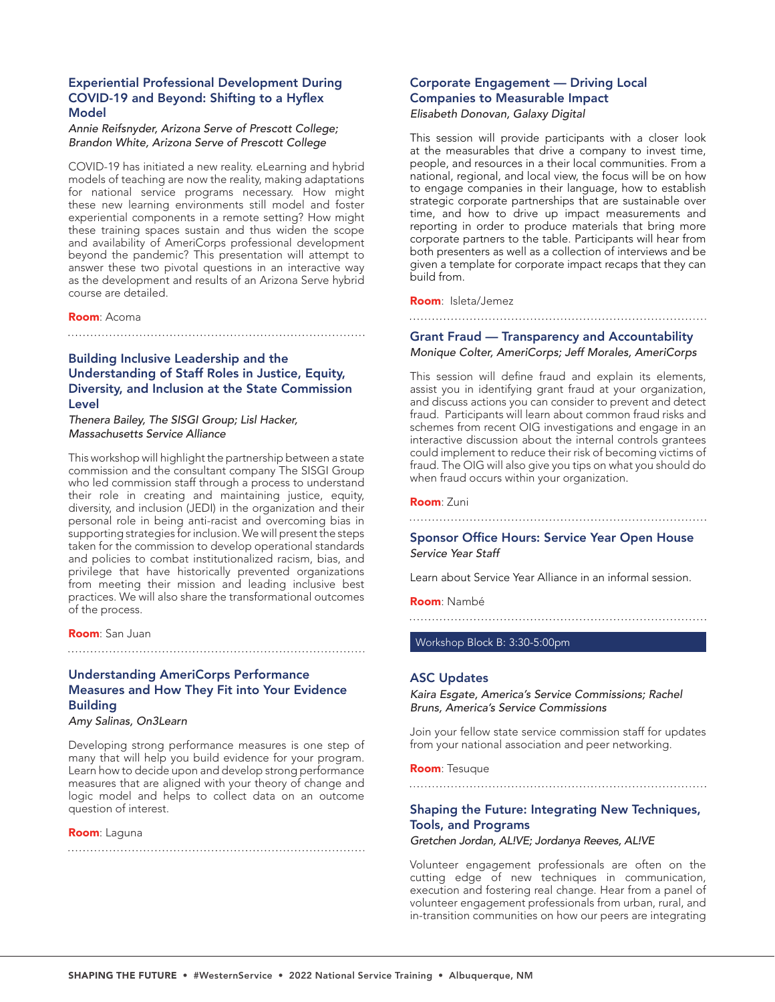## Experiential Professional Development During COVID-19 and Beyond: Shifting to a Hyflex Model

*Annie Reifsnyder, Arizona Serve of Prescott College; Brandon White, Arizona Serve of Prescott College*

COVID-19 has initiated a new reality. eLearning and hybrid models of teaching are now the reality, making adaptations for national service programs necessary. How might these new learning environments still model and foster experiential components in a remote setting? How might these training spaces sustain and thus widen the scope and availability of AmeriCorps professional development beyond the pandemic? This presentation will attempt to answer these two pivotal questions in an interactive way as the development and results of an Arizona Serve hybrid course are detailed.

#### Room: Acoma

Building Inclusive Leadership and the Understanding of Staff Roles in Justice, Equity, Diversity, and Inclusion at the State Commission Level

*Thenera Bailey, The SISGI Group; Lisl Hacker, Massachusetts Service Alliance*

This workshop will highlight the partnership between a state commission and the consultant company The SISGI Group who led commission staff through a process to understand their role in creating and maintaining justice, equity, diversity, and inclusion (JEDI) in the organization and their personal role in being anti-racist and overcoming bias in supporting strategies for inclusion. We will present the steps taken for the commission to develop operational standards and policies to combat institutionalized racism, bias, and privilege that have historically prevented organizations from meeting their mission and leading inclusive best practices. We will also share the transformational outcomes of the process.

Room: San Juan

Understanding AmeriCorps Performance Measures and How They Fit into Your Evidence **Building** 

*Amy Salinas, On3Learn*

Developing strong performance measures is one step of many that will help you build evidence for your program. Learn how to decide upon and develop strong performance measures that are aligned with your theory of change and logic model and helps to collect data on an outcome question of interest.

#### Room: Laguna

## Corporate Engagement — Driving Local Companies to Measurable Impact *Elisabeth Donovan, Galaxy Digital*

This session will provide participants with a closer look at the measurables that drive a company to invest time, people, and resources in a their local communities. From a national, regional, and local view, the focus will be on how to engage companies in their language, how to establish strategic corporate partnerships that are sustainable over time, and how to drive up impact measurements and reporting in order to produce materials that bring more corporate partners to the table. Participants will hear from both presenters as well as a collection of interviews and be given a template for corporate impact recaps that they can build from.

Room: Isleta/Jemez

## Grant Fraud — Transparency and Accountability

#### *Monique Colter, AmeriCorps; Jeff Morales, AmeriCorps*

This session will define fraud and explain its elements, assist you in identifying grant fraud at your organization, and discuss actions you can consider to prevent and detect fraud. Participants will learn about common fraud risks and schemes from recent OIG investigations and engage in an interactive discussion about the internal controls grantees could implement to reduce their risk of becoming victims of fraud. The OIG will also give you tips on what you should do when fraud occurs within your organization.

## Room: Zuni

## Sponsor Office Hours: Service Year Open House *Service Year Staff*

Learn about Service Year Alliance in an informal session.

#### Room: Nambé

Workshop Block B: 3:30-5:00pm

#### ASC Updates

*Kaira Esgate, America's Service Commissions; Rachel Bruns, America's Service Commissions*

Join your fellow state service commission staff for updates from your national association and peer networking.

Room: Tesuque

# 

## Shaping the Future: Integrating New Techniques, Tools, and Programs

*Gretchen Jordan, AL!VE; Jordanya Reeves, AL!VE*

Volunteer engagement professionals are often on the cutting edge of new techniques in communication, execution and fostering real change. Hear from a panel of volunteer engagement professionals from urban, rural, and in-transition communities on how our peers are integrating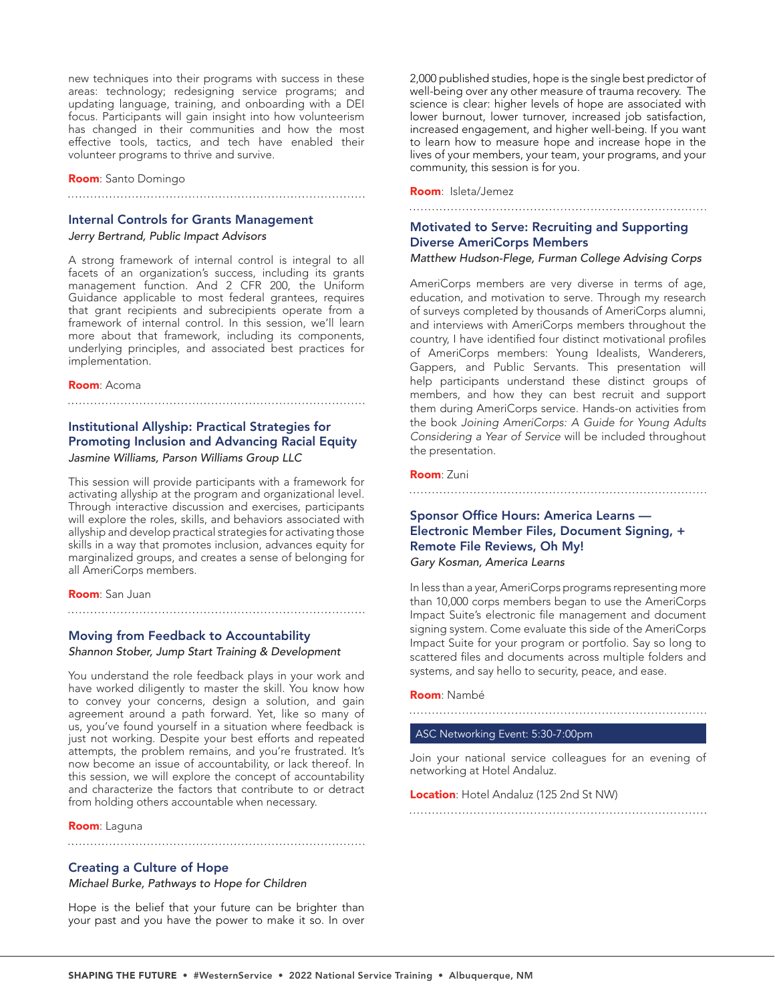new techniques into their programs with success in these areas: technology; redesigning service programs; and updating language, training, and onboarding with a DEI focus. Participants will gain insight into how volunteerism has changed in their communities and how the most effective tools, tactics, and tech have enabled their volunteer programs to thrive and survive.

Room: Santo Domingo

## Internal Controls for Grants Management

*Jerry Bertrand, Public Impact Advisors*

A strong framework of internal control is integral to all facets of an organization's success, including its grants management function. And 2 CFR 200, the Uniform Guidance applicable to most federal grantees, requires that grant recipients and subrecipients operate from a framework of internal control. In this session, we'll learn more about that framework, including its components, underlying principles, and associated best practices for implementation.

#### Room: Acoma

## Institutional Allyship: Practical Strategies for Promoting Inclusion and Advancing Racial Equity

## *Jasmine Williams, Parson Williams Group LLC*

This session will provide participants with a framework for activating allyship at the program and organizational level. Through interactive discussion and exercises, participants will explore the roles, skills, and behaviors associated with allyship and develop practical strategies for activating those skills in a way that promotes inclusion, advances equity for marginalized groups, and creates a sense of belonging for all AmeriCorps members.

#### Room: San Juan

## Moving from Feedback to Accountability

*Shannon Stober, Jump Start Training & Development*

You understand the role feedback plays in your work and have worked diligently to master the skill. You know how to convey your concerns, design a solution, and gain agreement around a path forward. Yet, like so many of us, you've found yourself in a situation where feedback is just not working. Despite your best efforts and repeated attempts, the problem remains, and you're frustrated. It's now become an issue of accountability, or lack thereof. In this session, we will explore the concept of accountability and characterize the factors that contribute to or detract from holding others accountable when necessary.

#### Room: Laguna

## Creating a Culture of Hope

*Michael Burke, Pathways to Hope for Children*

Hope is the belief that your future can be brighter than your past and you have the power to make it so. In over 2,000 published studies, hope is the single best predictor of well-being over any other measure of trauma recovery. The science is clear: higher levels of hope are associated with lower burnout, lower turnover, increased job satisfaction, increased engagement, and higher well-being. If you want to learn how to measure hope and increase hope in the lives of your members, your team, your programs, and your community, this session is for you.

Room: Isleta/Jemez

## Motivated to Serve: Recruiting and Supporting Diverse AmeriCorps Members *Matthew Hudson-Flege, Furman College Advising Corps*

AmeriCorps members are very diverse in terms of age, education, and motivation to serve. Through my research of surveys completed by thousands of AmeriCorps alumni, and interviews with AmeriCorps members throughout the country, I have identified four distinct motivational profiles of AmeriCorps members: Young Idealists, Wanderers, Gappers, and Public Servants. This presentation will help participants understand these distinct groups of members, and how they can best recruit and support them during AmeriCorps service. Hands-on activities from the book *Joining AmeriCorps: A Guide for Young Adults Considering a Year of Service* will be included throughout the presentation.

#### Room: Zuni

## Sponsor Office Hours: America Learns — Electronic Member Files, Document Signing, + Remote File Reviews, Oh My!

## *Gary Kosman, America Learns*

In less than a year, AmeriCorps programs representing more than 10,000 corps members began to use the AmeriCorps Impact Suite's electronic file management and document signing system. Come evaluate this side of the AmeriCorps Impact Suite for your program or portfolio. Say so long to scattered files and documents across multiple folders and systems, and say hello to security, peace, and ease.

#### Room: Nambé

#### ASC Networking Event: 5:30-7:00pm

Join your national service colleagues for an evening of networking at Hotel Andaluz.

#### Location: Hotel Andaluz (125 2nd St NW)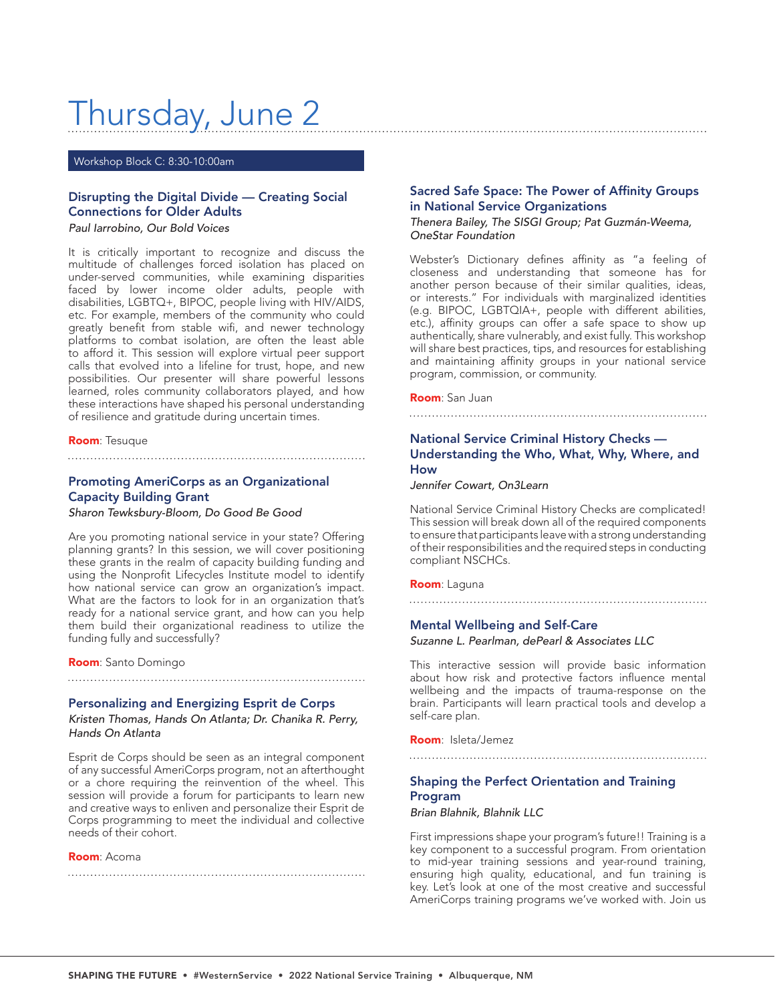# Thursday, June 2

Workshop Block C: 8:30-10:00am

## Disrupting the Digital Divide — Creating Social Connections for Older Adults

*Paul Iarrobino, Our Bold Voices*

It is critically important to recognize and discuss the multitude of challenges forced isolation has placed on under-served communities, while examining disparities faced by lower income older adults, people with disabilities, LGBTQ+, BIPOC, people living with HIV/AIDS, etc. For example, members of the community who could greatly benefit from stable wifi, and newer technology platforms to combat isolation, are often the least able to afford it. This session will explore virtual peer support calls that evolved into a lifeline for trust, hope, and new possibilities. Our presenter will share powerful lessons learned, roles community collaborators played, and how these interactions have shaped his personal understanding of resilience and gratitude during uncertain times.

#### Room: Tesuque

## Promoting AmeriCorps as an Organizational Capacity Building Grant

*Sharon Tewksbury-Bloom, Do Good Be Good*

Are you promoting national service in your state? Offering planning grants? In this session, we will cover positioning these grants in the realm of capacity building funding and using the Nonprofit Lifecycles Institute model to identify how national service can grow an organization's impact. What are the factors to look for in an organization that's ready for a national service grant, and how can you help them build their organizational readiness to utilize the funding fully and successfully?

Room: Santo Domingo

## Personalizing and Energizing Esprit de Corps

*Kristen Thomas, Hands On Atlanta; Dr. Chanika R. Perry, Hands On Atlanta*

Esprit de Corps should be seen as an integral component of any successful AmeriCorps program, not an afterthought or a chore requiring the reinvention of the wheel. This session will provide a forum for participants to learn new and creative ways to enliven and personalize their Esprit de Corps programming to meet the individual and collective needs of their cohort.

#### Room: Acoma

## Sacred Safe Space: The Power of Affinity Groups in National Service Organizations

## *Thenera Bailey, The SISGI Group; Pat Guzmán-Weema, OneStar Foundation*

Webster's Dictionary defines affinity as "a feeling of closeness and understanding that someone has for another person because of their similar qualities, ideas, or interests." For individuals with marginalized identities (e.g. BIPOC, LGBTQIA+, people with different abilities, etc.), affinity groups can offer a safe space to show up authentically, share vulnerably, and exist fully. This workshop will share best practices, tips, and resources for establishing and maintaining affinity groups in your national service program, commission, or community.

#### Room: San Juan

## National Service Criminal History Checks — Understanding the Who, What, Why, Where, and How

*Jennifer Cowart, On3Learn*

National Service Criminal History Checks are complicated! This session will break down all of the required components to ensure that participants leave with a strong understanding of their responsibilities and the required steps in conducting compliant NSCHCs.

#### Room: Laguna

## Mental Wellbeing and Self-Care

*Suzanne L. Pearlman, dePearl & Associates LLC*

This interactive session will provide basic information about how risk and protective factors influence mental wellbeing and the impacts of trauma-response on the brain. Participants will learn practical tools and develop a self-care plan.

Room: Isleta/Jemez

## Shaping the Perfect Orientation and Training Program

*Brian Blahnik, Blahnik LLC*

First impressions shape your program's future!! Training is a key component to a successful program. From orientation to mid-year training sessions and year-round training, ensuring high quality, educational, and fun training is key. Let's look at one of the most creative and successful AmeriCorps training programs we've worked with. Join us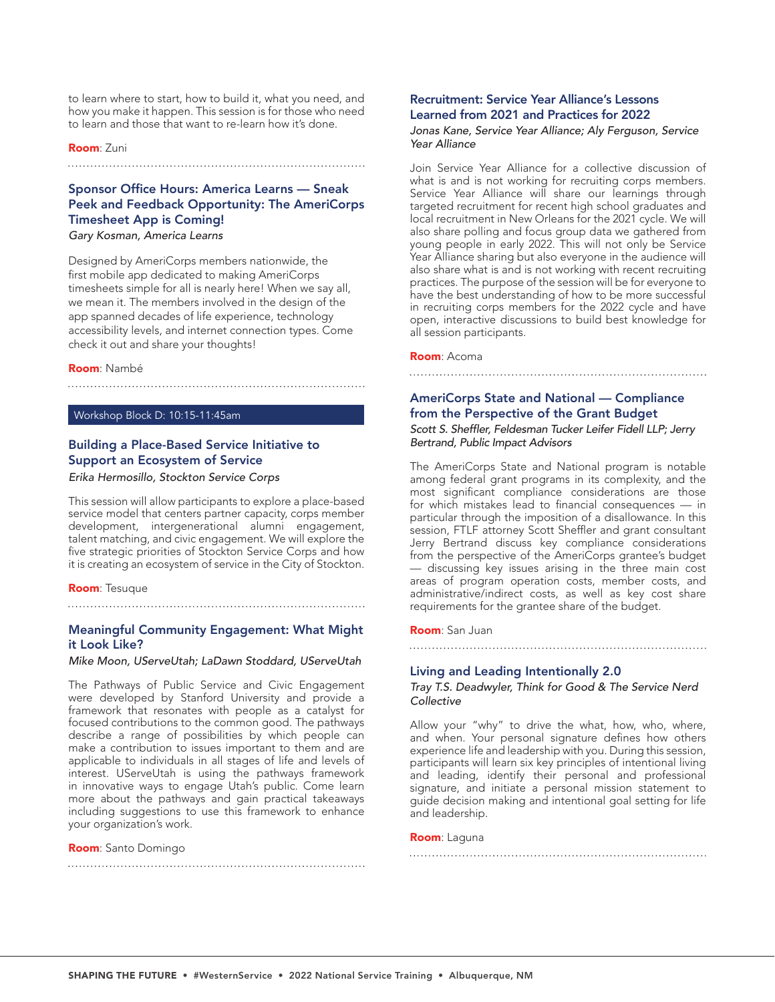to learn where to start, how to build it, what you need, and how you make it happen. This session is for those who need to learn and those that want to re-learn how it's done.

### Room: Zuni

## Sponsor Office Hours: America Learns — Sneak Peek and Feedback Opportunity: The AmeriCorps Timesheet App is Coming!

*Gary Kosman, America Learns*

Designed by AmeriCorps members nationwide, the first mobile app dedicated to making AmeriCorps timesheets simple for all is nearly here! When we say all, we mean it. The members involved in the design of the app spanned decades of life experience, technology accessibility levels, and internet connection types. Come check it out and share your thoughts!

#### Room: Nambé

### Workshop Block D: 10:15-11:45am

## Building a Place-Based Service Initiative to Support an Ecosystem of Service *Erika Hermosillo, Stockton Service Corps*

This session will allow participants to explore a place-based service model that centers partner capacity, corps member development, intergenerational alumni engagement, talent matching, and civic engagement. We will explore the five strategic priorities of Stockton Service Corps and how it is creating an ecosystem of service in the City of Stockton.

#### Room: Tesuque

## Meaningful Community Engagement: What Might it Look Like?

*Mike Moon, UServeUtah; LaDawn Stoddard, UServeUtah*

The Pathways of Public Service and Civic Engagement were developed by Stanford University and provide a framework that resonates with people as a catalyst for focused contributions to the common good. The pathways describe a range of possibilities by which people can make a contribution to issues important to them and are applicable to individuals in all stages of life and levels of interest. UServeUtah is using the pathways framework in innovative ways to engage Utah's public. Come learn more about the pathways and gain practical takeaways including suggestions to use this framework to enhance your organization's work.

#### Room: Santo Domingo

## Recruitment: Service Year Alliance's Lessons Learned from 2021 and Practices for 2022

*Jonas Kane, Service Year Alliance; Aly Ferguson, Service Year Alliance*

Join Service Year Alliance for a collective discussion of what is and is not working for recruiting corps members. Service Year Alliance will share our learnings through targeted recruitment for recent high school graduates and local recruitment in New Orleans for the 2021 cycle. We will also share polling and focus group data we gathered from young people in early 2022. This will not only be Service Year Alliance sharing but also everyone in the audience will also share what is and is not working with recent recruiting practices. The purpose of the session will be for everyone to have the best understanding of how to be more successful in recruiting corps members for the 2022 cycle and have open, interactive discussions to build best knowledge for all session participants.

#### Room: Acoma

## AmeriCorps State and National — Compliance from the Perspective of the Grant Budget Scott S. Sheffler, Feldesman Tucker Leifer Fidell LLP; Jerry *Bertrand, Public Impact Advisors*

The AmeriCorps State and National program is notable among federal grant programs in its complexity, and the most significant compliance considerations are those for which mistakes lead to financial consequences — in particular through the imposition of a disallowance. In this session, FTLF attorney Scott Sheffler and grant consultant Jerry Bertrand discuss key compliance considerations from the perspective of the AmeriCorps grantee's budget — discussing key issues arising in the three main cost areas of program operation costs, member costs, and administrative/indirect costs, as well as key cost share requirements for the grantee share of the budget.

#### Room: San Juan

## Living and Leading Intentionally 2.0

## *Tray T.S. Deadwyler, Think for Good & The Service Nerd Collective*

Allow your "why" to drive the what, how, who, where, and when. Your personal signature defines how others experience life and leadership with you. During this session, participants will learn six key principles of intentional living and leading, identify their personal and professional signature, and initiate a personal mission statement to guide decision making and intentional goal setting for life and leadership.

#### Room: Laguna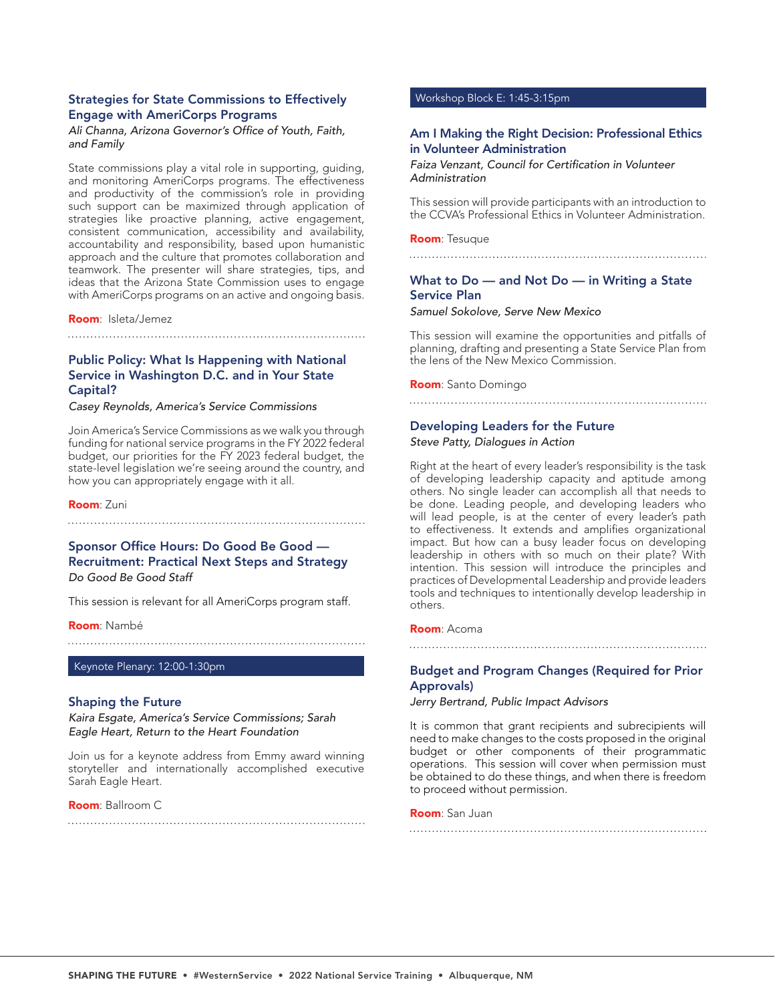## Strategies for State Commissions to Effectively Engage with AmeriCorps Programs

## Ali Channa, Arizona Governor's Office of Youth, Faith, *and Family*

State commissions play a vital role in supporting, guiding, and monitoring AmeriCorps programs. The effectiveness and productivity of the commission's role in providing such support can be maximized through application of strategies like proactive planning, active engagement, consistent communication, accessibility and availability, accountability and responsibility, based upon humanistic approach and the culture that promotes collaboration and teamwork. The presenter will share strategies, tips, and ideas that the Arizona State Commission uses to engage with AmeriCorps programs on an active and ongoing basis.

#### Room: Isleta/Jemez

## Public Policy: What Is Happening with National Service in Washington D.C. and in Your State Capital?

*Casey Reynolds, America's Service Commissions*

Join America's Service Commissions as we walk you through funding for national service programs in the FY 2022 federal budget, our priorities for the FY 2023 federal budget, the state-level legislation we're seeing around the country, and how you can appropriately engage with it all.

Room: Zuni

## Sponsor Office Hours: Do Good Be Good — Recruitment: Practical Next Steps and Strategy *Do Good Be Good Staff*

This session is relevant for all AmeriCorps program staff.

Room: Nambé

Keynote Plenary: 12:00-1:30pm

## Shaping the Future

*Kaira Esgate, America's Service Commissions; Sarah Eagle Heart, Return to the Heart Foundation*

Join us for a keynote address from Emmy award winning storyteller and internationally accomplished executive Sarah Eagle Heart.

## Room: Ballroom C

## Workshop Block E: 1:45-3:15pm

## Am I Making the Right Decision: Professional Ethics in Volunteer Administration

Faiza Venzant, Council for Certification in Volunteer *Administration*

This session will provide participants with an introduction to the CCVA's Professional Ethics in Volunteer Administration.

Room: Tesuque

## What to Do — and Not Do — in Writing a State Service Plan

*Samuel Sokolove, Serve New Mexico*

This session will examine the opportunities and pitfalls of planning, drafting and presenting a State Service Plan from the lens of the New Mexico Commission.

Room: Santo Domingo

#### 

## Developing Leaders for the Future

*Steve Patty, Dialogues in Action*

Right at the heart of every leader's responsibility is the task of developing leadership capacity and aptitude among others. No single leader can accomplish all that needs to be done. Leading people, and developing leaders who will lead people, is at the center of every leader's path to effectiveness. It extends and amplifies organizational impact. But how can a busy leader focus on developing leadership in others with so much on their plate? With intention. This session will introduce the principles and practices of Developmental Leadership and provide leaders tools and techniques to intentionally develop leadership in others.

#### Room: Acoma

## Budget and Program Changes (Required for Prior Approvals)

*Jerry Bertrand, Public Impact Advisors*

It is common that grant recipients and subrecipients will need to make changes to the costs proposed in the original budget or other components of their programmatic operations. This session will cover when permission must be obtained to do these things, and when there is freedom to proceed without permission.

#### Room: San Juan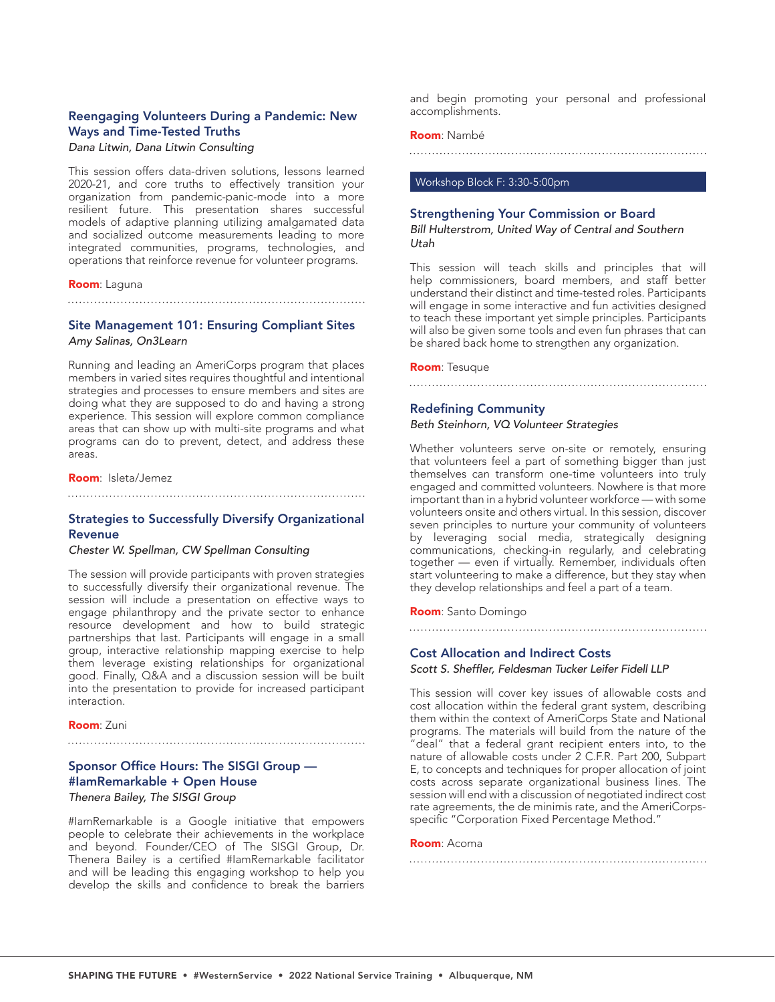## Reengaging Volunteers During a Pandemic: New Ways and Time-Tested Truths

#### *Dana Litwin, Dana Litwin Consulting*

This session offers data-driven solutions, lessons learned 2020-21, and core truths to effectively transition your organization from pandemic-panic-mode into a more resilient future. This presentation shares successful models of adaptive planning utilizing amalgamated data and socialized outcome measurements leading to more integrated communities, programs, technologies, and operations that reinforce revenue for volunteer programs.

#### Room: Laguna

## Site Management 101: Ensuring Compliant Sites *Amy Salinas, On3Learn*

Running and leading an AmeriCorps program that places members in varied sites requires thoughtful and intentional strategies and processes to ensure members and sites are doing what they are supposed to do and having a strong experience. This session will explore common compliance areas that can show up with multi-site programs and what programs can do to prevent, detect, and address these areas.

#### Room: Isleta/Jemez

## Strategies to Successfully Diversify Organizational Revenue

#### *Chester W. Spellman, CW Spellman Consulting*

The session will provide participants with proven strategies to successfully diversify their organizational revenue. The session will include a presentation on effective ways to engage philanthropy and the private sector to enhance resource development and how to build strategic partnerships that last. Participants will engage in a small group, interactive relationship mapping exercise to help them leverage existing relationships for organizational good. Finally, Q&A and a discussion session will be built into the presentation to provide for increased participant interaction.

Room: Zuni

## Sponsor Office Hours: The SISGI Group — #IamRemarkable + Open House

## *Thenera Bailey, The SISGI Group*

#IamRemarkable is a Google initiative that empowers people to celebrate their achievements in the workplace and beyond. Founder/CEO of The SISGI Group, Dr. Thenera Bailey is a certified #IamRemarkable facilitator and will be leading this engaging workshop to help you develop the skills and confidence to break the barriers and begin promoting your personal and professional accomplishments.

#### Room: Nambé

#### Workshop Block F: 3:30-5:00pm

#### Strengthening Your Commission or Board

*Bill Hulterstrom, United Way of Central and Southern Utah*

This session will teach skills and principles that will help commissioners, board members, and staff better understand their distinct and time-tested roles. Participants will engage in some interactive and fun activities designed to teach these important yet simple principles. Participants will also be given some tools and even fun phrases that can be shared back home to strengthen any organization.

Room: Tesuque

## Redefining Community

### *Beth Steinhorn, VQ Volunteer Strategies*

Whether volunteers serve on-site or remotely, ensuring that volunteers feel a part of something bigger than just themselves can transform one-time volunteers into truly engaged and committed volunteers. Nowhere is that more important than in a hybrid volunteer workforce — with some volunteers onsite and others virtual. In this session, discover seven principles to nurture your community of volunteers by leveraging social media, strategically designing communications, checking-in regularly, and celebrating together — even if virtually. Remember, individuals often start volunteering to make a difference, but they stay when they develop relationships and feel a part of a team.

#### Room: Santo Domingo

## Cost Allocation and Indirect Costs

Scott S. Sheffler, Feldesman Tucker Leifer Fidell LLP

This session will cover key issues of allowable costs and cost allocation within the federal grant system, describing them within the context of AmeriCorps State and National programs. The materials will build from the nature of the 'deal" that a federal grant recipient enters into, to the nature of allowable costs under 2 C.F.R. Part 200, Subpart E, to concepts and techniques for proper allocation of joint costs across separate organizational business lines. The session will end with a discussion of negotiated indirect cost rate agreements, the de minimis rate, and the AmeriCorpsspecific "Corporation Fixed Percentage Method."

#### Room: Acoma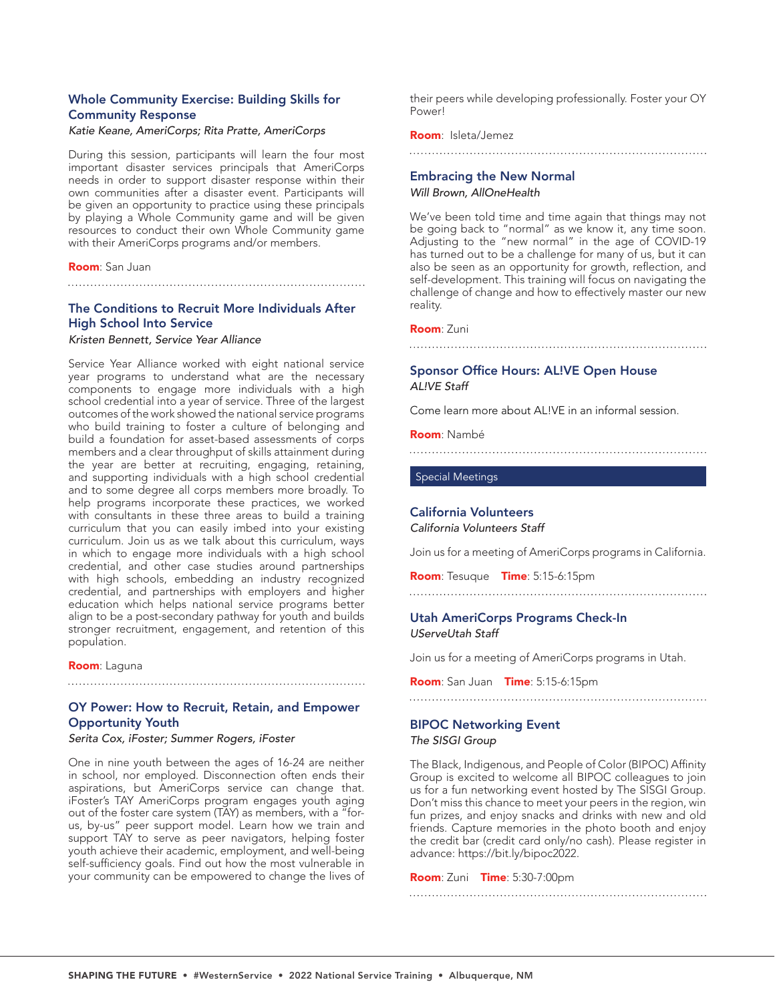## Whole Community Exercise: Building Skills for Community Response

## *Katie Keane, AmeriCorps; Rita Pratte, AmeriCorps*

During this session, participants will learn the four most important disaster services principals that AmeriCorps needs in order to support disaster response within their own communities after a disaster event. Participants will be given an opportunity to practice using these principals by playing a Whole Community game and will be given resources to conduct their own Whole Community game with their AmeriCorps programs and/or members.

#### Room: San Juan

## The Conditions to Recruit More Individuals After High School Into Service

#### *Kristen Bennett, Service Year Alliance*

Service Year Alliance worked with eight national service year programs to understand what are the necessary components to engage more individuals with a high school credential into a year of service. Three of the largest outcomes of the work showed the national service programs who build training to foster a culture of belonging and build a foundation for asset-based assessments of corps members and a clear throughput of skills attainment during the year are better at recruiting, engaging, retaining, and supporting individuals with a high school credential and to some degree all corps members more broadly. To help programs incorporate these practices, we worked with consultants in these three areas to build a training curriculum that you can easily imbed into your existing curriculum. Join us as we talk about this curriculum, ways in which to engage more individuals with a high school credential, and other case studies around partnerships with high schools, embedding an industry recognized credential, and partnerships with employers and higher education which helps national service programs better align to be a post-secondary pathway for youth and builds stronger recruitment, engagement, and retention of this population.

Room: Laguna

## OY Power: How to Recruit, Retain, and Empower Opportunity Youth

#### *Serita Cox, iFoster; Summer Rogers, iFoster*

One in nine youth between the ages of 16-24 are neither in school, nor employed. Disconnection often ends their aspirations, but AmeriCorps service can change that. iFoster's TAY AmeriCorps program engages youth aging out of the foster care system (TAY) as members, with a "forus, by-us" peer support model. Learn how we train and support TAY to serve as peer navigators, helping foster youth achieve their academic, employment, and well-being self-sufficiency goals. Find out how the most vulnerable in your community can be empowered to change the lives of their peers while developing professionally. Foster your OY Power!

#### Room: Isleta/Jemez

#### 

## Embracing the New Normal

*Will Brown, AllOneHealth*

We've been told time and time again that things may not be going back to "normal" as we know it, any time soon. Adjusting to the "new normal" in the age of COVID-19 has turned out to be a challenge for many of us, but it can also be seen as an opportunity for growth, reflection, and self-development. This training will focus on navigating the challenge of change and how to effectively master our new reality.

#### Room: Zuni

# 

## Sponsor Office Hours: AL!VE Open House *AL!VE Staff*

Come learn more about AL!VE in an informal session.

#### Room: Nambé

## Special Meetings

## California Volunteers

*California Volunteers Staff*

Join us for a meeting of AmeriCorps programs in California.

Room: Tesuque Time: 5:15-6:15pm

## Utah AmeriCorps Programs Check-In *UServeUtah Staff*

Join us for a meeting of AmeriCorps programs in Utah.

Room: San Juan Time: 5:15-6:15pm

## BIPOC Networking Event

#### *The SISGI Group*

The BIack, Indigenous, and People of Color (BIPOC) Affinity Group is excited to welcome all BIPOC colleagues to join us for a fun networking event hosted by The SISGI Group. Don't miss this chance to meet your peers in the region, win fun prizes, and enjoy snacks and drinks with new and old friends. Capture memories in the photo booth and enjoy the credit bar (credit card only/no cash). Please register in advance: https://bit.ly/bipoc2022.

#### **Room: Zuni Time: 5:30-7:00pm**

SHAPING THE FUTURE • #WesternService • 2022 National Service Training • Albuquerque, NM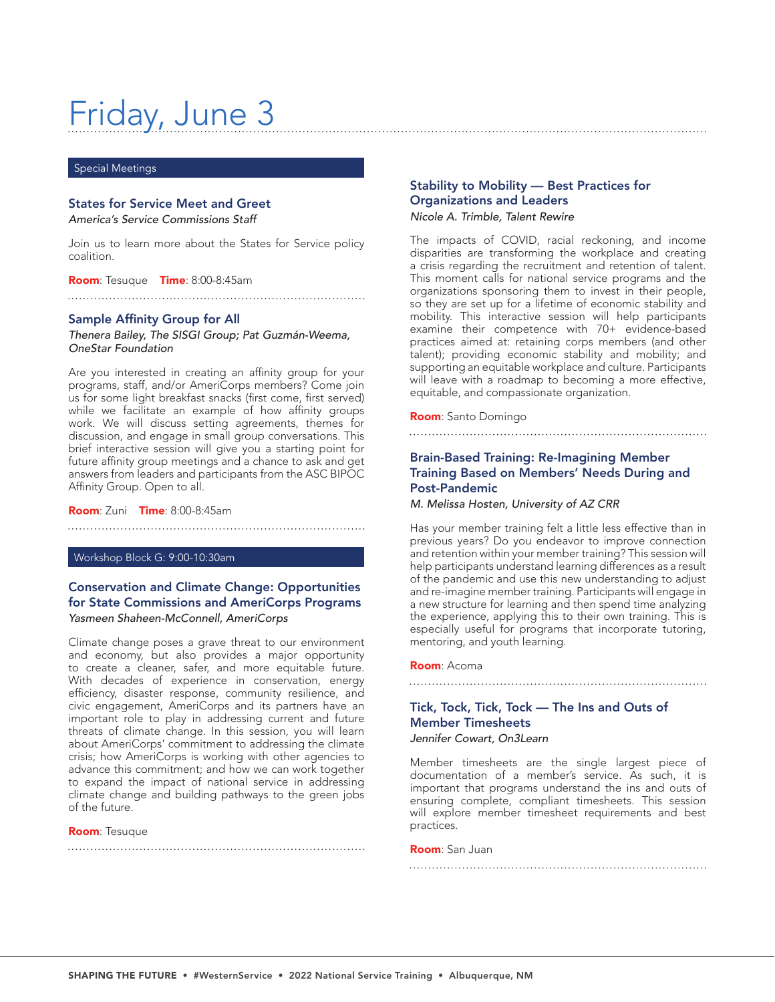# Friday, June 3

#### Special Meetings

## States for Service Meet and Greet

*America's Service Commissions Staff*

Join us to learn more about the States for Service policy coalition.

Room: Tesuque Time: 8:00-8:45am

## Sample Affinity Group for All

*Thenera Bailey, The SISGI Group; Pat Guzmán-Weema, OneStar Foundation*

Are you interested in creating an affinity group for your programs, staff, and/or AmeriCorps members? Come join us for some light breakfast snacks (first come, first served) while we facilitate an example of how affinity groups work. We will discuss setting agreements, themes for discussion, and engage in small group conversations. This brief interactive session will give you a starting point for future affinity group meetings and a chance to ask and get answers from leaders and participants from the ASC BIPOC Affinity Group. Open to all.

#### Room: Zuni Time: 8:00-8:45am

Workshop Block G: 9:00-10:30am

## Conservation and Climate Change: Opportunities for State Commissions and AmeriCorps Programs *Yasmeen Shaheen-McConnell, AmeriCorps*

Climate change poses a grave threat to our environment and economy, but also provides a major opportunity to create a cleaner, safer, and more equitable future. With decades of experience in conservation, energy efficiency, disaster response, community resilience, and civic engagement, AmeriCorps and its partners have an important role to play in addressing current and future threats of climate change. In this session, you will learn about AmeriCorps' commitment to addressing the climate crisis; how AmeriCorps is working with other agencies to advance this commitment; and how we can work together to expand the impact of national service in addressing climate change and building pathways to the green jobs of the future.

#### Room: Tesuque

## Stability to Mobility — Best Practices for Organizations and Leaders *Nicole A. Trimble, Talent Rewire*

The impacts of COVID, racial reckoning, and income disparities are transforming the workplace and creating a crisis regarding the recruitment and retention of talent. This moment calls for national service programs and the organizations sponsoring them to invest in their people, so they are set up for a lifetime of economic stability and mobility. This interactive session will help participants examine their competence with 70+ evidence-based practices aimed at: retaining corps members (and other talent); providing economic stability and mobility; and supporting an equitable workplace and culture. Participants will leave with a roadmap to becoming a more effective, equitable, and compassionate organization.

#### Room: Santo Domingo

## 

## Brain-Based Training: Re-Imagining Member Training Based on Members' Needs During and Post-Pandemic

*M. Melissa Hosten, University of AZ CRR*

Has your member training felt a little less effective than in previous years? Do you endeavor to improve connection and retention within your member training? This session will help participants understand learning differences as a result of the pandemic and use this new understanding to adjust and re-imagine member training. Participants will engage in a new structure for learning and then spend time analyzing the experience, applying this to their own training. This is especially useful for programs that incorporate tutoring, mentoring, and youth learning.

#### Room: Acoma

## Tick, Tock, Tick, Tock — The Ins and Outs of Member Timesheets

*Jennifer Cowart, On3Learn*

Member timesheets are the single largest piece of documentation of a member's service. As such, it is important that programs understand the ins and outs of ensuring complete, compliant timesheets. This session will explore member timesheet requirements and best practices.

Room: San Juan